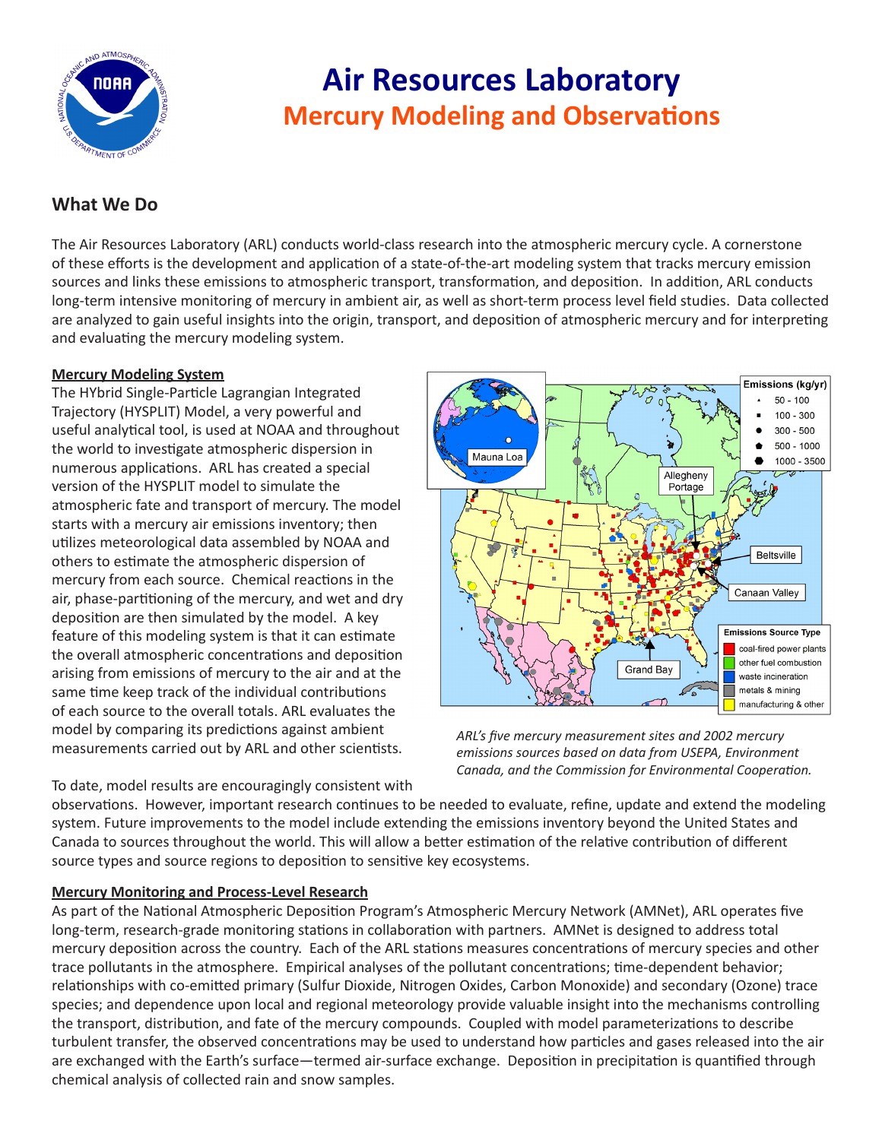

# **Air Resources Laboratory Mercury Modeling and Observations**

## **What We Do**

The Air Resources Laboratory (ARL) conducts world-class research into the atmospheric mercury cycle. A cornerstone of these efforts is the development and application of a state-of-the-art modeling system that tracks mercury emission sources and links these emissions to atmospheric transport, transformation, and deposition. In addition, ARL conducts long-term intensive monitoring of mercury in ambient air, as well as short-term process level field studies. Data collected are analyzed to gain useful insights into the origin, transport, and deposition of atmospheric mercury and for interpreting and evaluating the mercury modeling system.

### **Mercury Modeling System**

The HYbrid Single-Particle Lagrangian Integrated Trajectory (HYSPLIT) Model, a very powerful and useful analytical tool, is used at NOAA and throughout the world to investigate atmospheric dispersion in numerous applications. ARL has created a special version of the HYSPLIT model to simulate the atmospheric fate and transport of mercury. The model starts with a mercury air emissions inventory; then utilizes meteorological data assembled by NOAA and others to estimate the atmospheric dispersion of mercury from each source. Chemical reactions in the air, phase-partitioning of the mercury, and wet and dry deposition are then simulated by the model. A key feature of this modeling system is that it can estimate the overall atmospheric concentrations and deposition arising from emissions of mercury to the air and at the same time keep track of the individual contributions of each source to the overall totals. ARL evaluates the model by comparing its predictions against ambient measurements carried out by ARL and other scientists.



*ARL's five mercury measurement sites and 2002 mercury emissions sources based on data from USEPA, Environment Canada, and the Commission for Environmental Cooperation.*

To date, model results are encouragingly consistent with

observations. However, important research continues to be needed to evaluate, refine, update and extend the modeling system. Future improvements to the model include extending the emissions inventory beyond the United States and Canada to sources throughout the world. This will allow a better estimation of the relative contribution of different source types and source regions to deposition to sensitive key ecosystems.

#### **Mercury Monitoring and Process-Level Research**

As part of the National Atmospheric Deposition Program's Atmospheric Mercury Network (AMNet), ARL operates five long-term, research-grade monitoring stations in collaboration with partners. AMNet is designed to address total mercury deposition across the country. Each of the ARL stations measures concentrations of mercury species and other trace pollutants in the atmosphere. Empirical analyses of the pollutant concentrations; time-dependent behavior; relationships with co-emitted primary (Sulfur Dioxide, Nitrogen Oxides, Carbon Monoxide) and secondary (Ozone) trace species; and dependence upon local and regional meteorology provide valuable insight into the mechanisms controlling the transport, distribution, and fate of the mercury compounds. Coupled with model parameterizations to describe turbulent transfer, the observed concentrations may be used to understand how particles and gases released into the air are exchanged with the Earth's surface—termed air-surface exchange. Deposition in precipitation is quantified through chemical analysis of collected rain and snow samples.